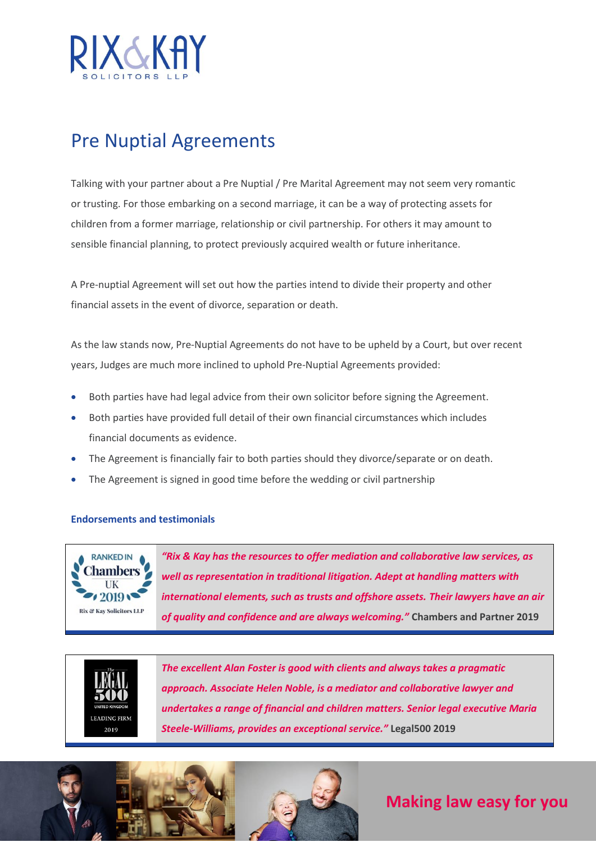

## Pre Nuptial Agreements

Talking with your partner about a Pre Nuptial / Pre Marital Agreement may not seem very romantic or trusting. For those embarking on a second marriage, it can be a way of protecting assets for children from a former marriage, relationship or civil partnership. For others it may amount to sensible financial planning, to protect previously acquired wealth or future inheritance.

A Pre-nuptial Agreement will set out how the parties intend to divide their property and other financial assets in the event of divorce, separation or death.

As the law stands now, Pre-Nuptial Agreements do not have to be upheld by a Court, but over recent years, Judges are much more inclined to uphold Pre-Nuptial Agreements provided:

- Both parties have had legal advice from their own solicitor before signing the Agreement.
- Both parties have provided full detail of their own financial circumstances which includes financial documents as evidence.
- The Agreement is financially fair to both parties should they divorce/separate or on death.
- The Agreement is signed in good time before the wedding or civil partnership

## **Endorsements and testimonials**



*"Rix & Kay has the resources to offer mediation and collaborative law services, as well as representation in traditional litigation. Adept at handling matters with international elements, such as trusts and offshore assets. Their lawyers have an air of quality and confidence and are always welcoming."* **Chambers and Partner 2019**



*The excellent Alan Foster is good with clients and always takes a pragmatic approach. Associate Helen Noble, is a mediator and collaborative lawyer and undertakes a range of financial and children matters. Senior legal executive Maria Steele-Williams, provides an exceptional service."* **Legal500 2019**



**Making law easy for you**